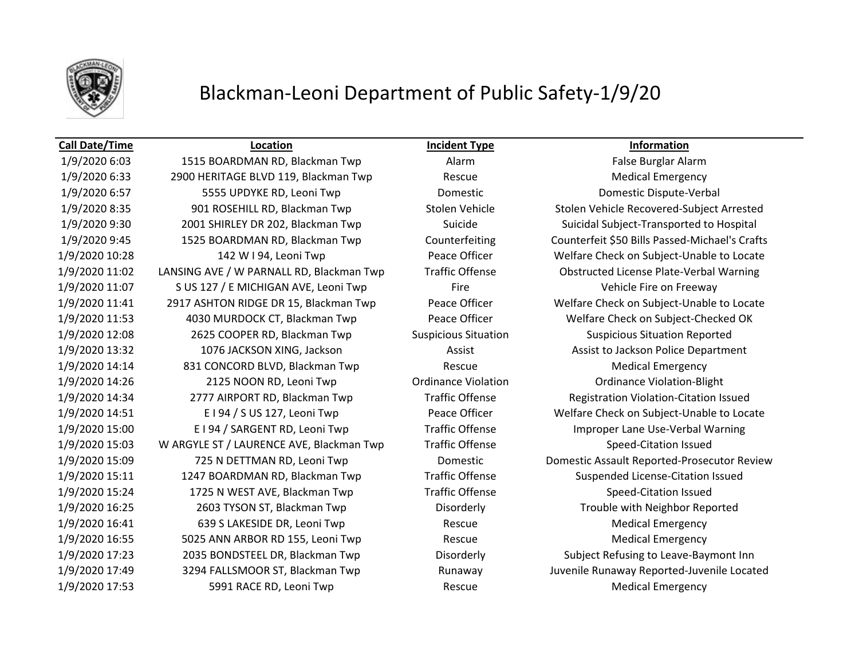

## Blackman-Leoni Department of Public Safety-1/9/20

### **Call Date/Time Location Incident Type Information**

1/9/2020 6:03 1515 BOARDMAN RD, Blackman Twp **Alarm** Alarm False Burglar Alarm 1/9/2020 6:33 2900 HERITAGE BLVD 119, Blackman Twp Rescue Medical Emergency 1/9/2020 6:57 5555 UPDYKE RD, Leoni Twp Domestic Domestic Dispute-Verbal 1/9/2020 8:35 901 ROSEHILL RD, Blackman Twp Stolen Vehicle Stolen Vehicle Recovered-Subject Arrested 1/9/2020 9:30 2001 SHIRLEY DR 202, Blackman Twp Suicide Suicidal Subject-Transported to Hospital 1/9/2020 9:45 1525 BOARDMAN RD, Blackman Twp Counterfeiting Counterfeit \$50 Bills Passed-Michael's Crafts 1/9/2020 10:28 142 W I 94, Leoni Twp Peace Officer Welfare Check on Subject-Unable to Locate 1/9/2020 11:02 LANSING AVE / W PARNALL RD, Blackman Twp Traffic Offense Obstructed License Plate-Verbal Warning 1/9/2020 11:07 S US 127 / E MICHIGAN AVE, Leoni Twp Fire Fire Fire Vehicle Fire on Freeway 1/9/2020 11:41 2917 ASHTON RIDGE DR 15, Blackman Twp Peace Officer Welfare Check on Subject-Unable to Locate 1/9/2020 11:53 4030 MURDOCK CT, Blackman Twp Peace Officer Welfare Check on Subject-Checked OK 1/9/2020 12:08 2625 COOPER RD, Blackman Twp Suspicious Situation Suspicious Situation Reported 1/9/2020 13:32 1076 JACKSON XING, Jackson Assist Assist Assist to Jackson Police Department 1/9/2020 14:14 831 CONCORD BLVD, Blackman Twp Rescue Medical Emergency 1/9/2020 14:26 2125 NOON RD, Leoni Twp Ordinance Violation Ordinance Violation-Blight 1/9/2020 14:34 2777 AIRPORT RD, Blackman Twp Traffic Offense Registration Violation-Citation Issued 1/9/2020 14:51 E I 94 / S US 127, Leoni Twp Peace Officer Welfare Check on Subject-Unable to Locate 1/9/2020 15:00 E I 94 / SARGENT RD, Leoni Twp Traffic Offense Improper Lane Use-Verbal Warning 1/9/2020 15:03 W ARGYLE ST / LAURENCE AVE, Blackman Twp Traffic Offense Speed-Citation Issued 1/9/2020 15:11 1247 BOARDMAN RD, Blackman Twp Traffic Offense Suspended License-Citation Issued 1/9/2020 15:24 1725 N WEST AVE, Blackman Twp Traffic Offense Speed-Citation Issued 1/9/2020 16:25 2603 TYSON ST, Blackman Twp Disorderly Trouble with Neighbor Reported 1/9/2020 16:41 639 S LAKESIDE DR, Leoni Twp Rescue Medical Emergency 1/9/2020 16:55 5025 ANN ARBOR RD 155, Leoni Twp Rescue Medical Emergency 1/9/2020 17:23 2035 BONDSTEEL DR, Blackman Twp Disorderly Subject Refusing to Leave-Baymont Inn 1/9/2020 17:49 3294 FALLSMOOR ST, Blackman Twp Runaway Juvenile Runaway Reported-Juvenile Located 1/9/2020 17:53 5991 RACE RD, Leoni Twp Rescue Medical Emergency

1/9/2020 15:09 725 N DETTMAN RD, Leoni Twp Domestic Domestic Assault Reported-Prosecutor Review